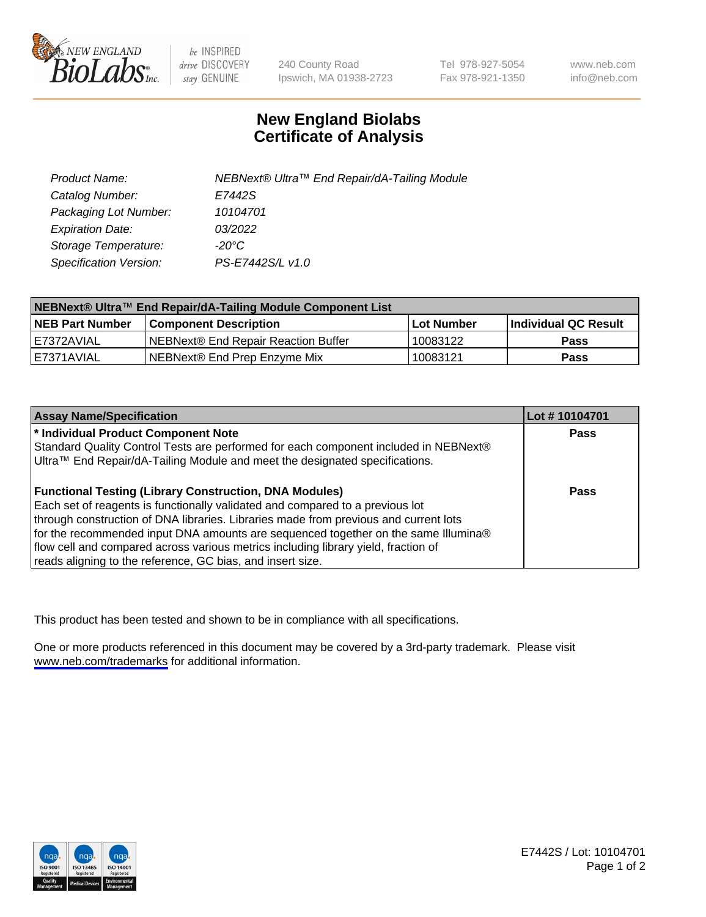

be INSPIRED drive DISCOVERY stay GENUINE

240 County Road Ipswich, MA 01938-2723 Tel 978-927-5054 Fax 978-921-1350

www.neb.com info@neb.com

## **New England Biolabs Certificate of Analysis**

| Product Name:           | NEBNext® Ultra™ End Repair/dA-Tailing Module |
|-------------------------|----------------------------------------------|
| Catalog Number:         | E7442S                                       |
| Packaging Lot Number:   | 10104701                                     |
| <b>Expiration Date:</b> | 03/2022                                      |
| Storage Temperature:    | -20°C                                        |
| Specification Version:  | PS-E7442S/L v1.0                             |

| NEBNext® Ultra™ End Repair/dA-Tailing Module Component List |                                      |                   |                      |  |
|-------------------------------------------------------------|--------------------------------------|-------------------|----------------------|--|
| <b>NEB Part Number</b>                                      | <b>Component Description</b>         | <b>Lot Number</b> | Individual QC Result |  |
| I E7372AVIAL                                                | INEBNext® End Repair Reaction Buffer | 10083122          | <b>Pass</b>          |  |
| I E7371AVIAL                                                | NEBNext® End Prep Enzyme Mix         | 10083121          | <b>Pass</b>          |  |

| <b>Assay Name/Specification</b>                                                      | Lot #10104701 |
|--------------------------------------------------------------------------------------|---------------|
| * Individual Product Component Note                                                  | <b>Pass</b>   |
| Standard Quality Control Tests are performed for each component included in NEBNext® |               |
| Ultra™ End Repair/dA-Tailing Module and meet the designated specifications.          |               |
| <b>Functional Testing (Library Construction, DNA Modules)</b>                        | <b>Pass</b>   |
| Each set of reagents is functionally validated and compared to a previous lot        |               |
| through construction of DNA libraries. Libraries made from previous and current lots |               |
| for the recommended input DNA amounts are sequenced together on the same Illumina®   |               |
| flow cell and compared across various metrics including library yield, fraction of   |               |
| reads aligning to the reference, GC bias, and insert size.                           |               |

This product has been tested and shown to be in compliance with all specifications.

One or more products referenced in this document may be covered by a 3rd-party trademark. Please visit <www.neb.com/trademarks>for additional information.